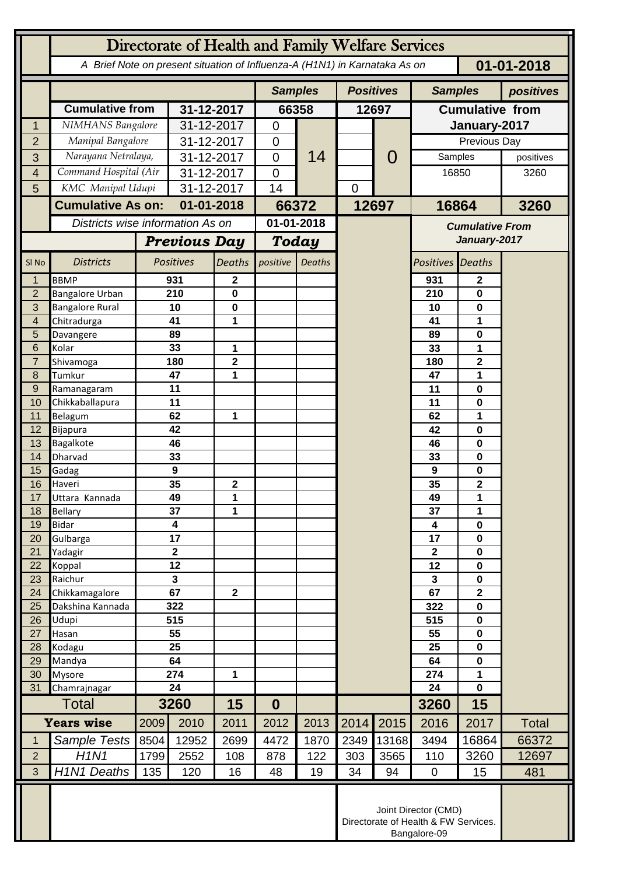| Directorate of Health and Family Welfare Services |                                                                              |                                                                            |                               |                  |                  |                |                  |                  |                         |                              |              |
|---------------------------------------------------|------------------------------------------------------------------------------|----------------------------------------------------------------------------|-------------------------------|------------------|------------------|----------------|------------------|------------------|-------------------------|------------------------------|--------------|
|                                                   |                                                                              | A Brief Note on present situation of Influenza-A (H1N1) in Karnataka As on |                               |                  |                  |                |                  | $01 - 01 - 2018$ |                         |                              |              |
|                                                   |                                                                              |                                                                            |                               |                  |                  | <b>Samples</b> | <b>Positives</b> |                  | <b>Samples</b>          | positives                    |              |
|                                                   | <b>Cumulative from</b>                                                       |                                                                            | 31-12-2017                    |                  | 66358            |                | 12697            |                  | <b>Cumulative from</b>  |                              |              |
| 1                                                 | NIMHANS Bangalore                                                            |                                                                            | 31-12-2017                    |                  | $\mathbf 0$      |                |                  |                  | January-2017            |                              |              |
| $\overline{2}$                                    | Manipal Bangalore                                                            |                                                                            | 31-12-2017                    |                  | $\mathbf 0$      |                |                  | $\Omega$         | Previous Day            |                              |              |
| 3                                                 | Narayana Netralaya,                                                          |                                                                            | 31-12-2017                    |                  | $\overline{0}$   | 14             |                  |                  | Samples                 |                              | positives    |
| 4                                                 | Command Hospital (Air                                                        |                                                                            | 31-12-2017                    |                  | $\overline{0}$   |                |                  |                  | 16850                   |                              | 3260         |
| 5                                                 | KMC Manipal Udupi                                                            |                                                                            | 31-12-2017                    |                  | 14               |                | $\mathbf 0$      |                  |                         |                              |              |
|                                                   | <b>Cumulative As on:</b>                                                     |                                                                            | 01-01-2018                    |                  |                  | 66372          |                  | 12697            | 16864                   |                              | 3260         |
|                                                   | Districts wise information As on                                             |                                                                            |                               |                  | 01-01-2018       |                |                  |                  | <b>Cumulative From</b>  |                              |              |
|                                                   |                                                                              | <b>Previous Day</b>                                                        |                               |                  | <b>Today</b>     |                |                  |                  | January-2017            |                              |              |
| SI <sub>No</sub>                                  | <b>Districts</b>                                                             |                                                                            | <b>Positives</b>              | <b>Deaths</b>    | positive         | <b>Deaths</b>  |                  |                  | <b>Positives Deaths</b> |                              |              |
| 1                                                 | <b>BBMP</b>                                                                  |                                                                            | 931                           | 2                |                  |                |                  |                  | 931                     | $\mathbf{2}$                 |              |
| $\overline{2}$                                    | <b>Bangalore Urban</b>                                                       |                                                                            | 210                           | 0                |                  |                |                  |                  | 210                     | 0                            |              |
| 3                                                 | <b>Bangalore Rural</b>                                                       |                                                                            | 10                            | $\mathbf 0$      |                  |                |                  |                  | 10                      | 0                            |              |
| 4                                                 | Chitradurga                                                                  |                                                                            | 41                            | 1                |                  |                |                  |                  | 41                      | 1                            |              |
| 5                                                 | Davangere                                                                    |                                                                            | 89                            |                  |                  |                |                  |                  | 89                      | 0                            |              |
| 6                                                 | Kolar                                                                        |                                                                            | 33<br>180                     | 1                |                  |                |                  |                  | 33                      | 1                            |              |
| $\overline{7}$<br>8                               | Shivamoga<br>Tumkur                                                          |                                                                            |                               | $\mathbf 2$<br>1 |                  |                |                  |                  | 180<br>47               | $\overline{\mathbf{2}}$<br>1 |              |
| 9                                                 | Ramanagaram                                                                  |                                                                            | 47<br>11                      |                  |                  |                |                  |                  | 11                      | 0                            |              |
| 10                                                | Chikkaballapura                                                              |                                                                            | 11                            |                  |                  |                |                  |                  | 11                      | 0                            |              |
| 11                                                | Belagum                                                                      |                                                                            | 62                            | 1                |                  |                |                  |                  | 62                      | 1                            |              |
| 12                                                | Bijapura                                                                     |                                                                            | 42                            |                  |                  |                |                  |                  | 42                      | 0                            |              |
| 13                                                | Bagalkote                                                                    |                                                                            | 46                            |                  |                  |                |                  |                  | 46                      | 0                            |              |
| 14                                                | Dharvad                                                                      |                                                                            |                               |                  |                  |                |                  |                  | 33                      | 0                            |              |
| 15                                                | Gadag                                                                        |                                                                            |                               |                  |                  |                |                  |                  | 9                       | 0                            |              |
| 16                                                | Haveri                                                                       |                                                                            |                               | $\overline{2}$   |                  |                |                  |                  | 35                      | $\overline{\mathbf{2}}$      |              |
| 17                                                | Uttara Kannada                                                               |                                                                            | 49                            | 1                |                  |                |                  |                  | 49                      | 1                            |              |
| 18                                                | <b>Bellary</b>                                                               |                                                                            | 37                            | 1                |                  |                |                  |                  | 37                      | 1                            |              |
| 19                                                | <b>Bidar</b>                                                                 |                                                                            | $\overline{\mathbf{4}}$<br>17 |                  |                  |                |                  |                  | 4                       | $\mathbf 0$                  |              |
| 20<br>21                                          | Gulbarga<br>Yadagir                                                          |                                                                            | $\mathbf{2}$                  |                  |                  |                |                  |                  | 17<br>$\mathbf{2}$      | $\mathbf 0$<br>$\mathbf 0$   |              |
| 22                                                | Koppal                                                                       |                                                                            |                               |                  |                  |                |                  |                  | 12                      | $\mathbf 0$                  |              |
| 23                                                | Raichur                                                                      |                                                                            | 12<br>3                       |                  |                  |                |                  |                  | 3                       | $\mathbf 0$                  |              |
| 24                                                | Chikkamagalore                                                               |                                                                            | 67                            | $\mathbf{2}$     |                  |                |                  |                  | 67                      | $\mathbf 2$                  |              |
| 25                                                | Dakshina Kannada                                                             |                                                                            | 322                           |                  |                  |                |                  |                  | 322                     | $\mathbf 0$                  |              |
| 26                                                | Udupi                                                                        |                                                                            | 515                           |                  |                  |                |                  |                  | 515                     | $\mathbf 0$                  |              |
| 27                                                | Hasan                                                                        |                                                                            | 55                            |                  |                  |                |                  |                  | 55                      | $\pmb{0}$                    |              |
| 28                                                | Kodagu                                                                       | 25                                                                         |                               |                  |                  |                |                  |                  | 25                      | $\mathbf 0$                  |              |
| 29                                                | Mandya                                                                       | 64                                                                         |                               |                  |                  |                |                  |                  | 64                      | $\mathbf 0$                  |              |
| 30<br>31                                          | <b>Mysore</b>                                                                |                                                                            | 274                           | 1                |                  |                |                  |                  | 274                     | 1<br>$\mathbf 0$             |              |
|                                                   | Chamrajnagar<br><b>Total</b>                                                 |                                                                            | 24<br>3260                    |                  | $\boldsymbol{0}$ |                |                  |                  | 24<br>3260              | 15                           |              |
| <b>Years wise</b>                                 |                                                                              | 2009                                                                       | 2010                          | 15<br>2011       | 2012             | 2013           |                  |                  | 2016                    | 2017                         |              |
| $\mathbf 1$                                       |                                                                              |                                                                            | 12952                         | 2699             | 4472             | 1870           | 2014<br>2349     | 2015             | 3494                    |                              | <b>Total</b> |
| $\overline{2}$                                    | Sample Tests<br>H1N1                                                         | 8504                                                                       |                               |                  |                  |                |                  | 13168            |                         | 16864                        | 66372        |
| 3                                                 | H <sub>1</sub> N <sub>1</sub> Deaths                                         | 1799<br>135                                                                | 2552<br>120                   | 108<br>16        | 878<br>48        | 122<br>19      | 303<br>34        | 3565<br>94       | 110<br>$\mathbf 0$      | 3260<br>15                   | 12697<br>481 |
|                                                   |                                                                              |                                                                            |                               |                  |                  |                |                  |                  |                         |                              |              |
|                                                   | Joint Director (CMD)<br>Directorate of Health & FW Services.<br>Bangalore-09 |                                                                            |                               |                  |                  |                |                  |                  |                         |                              |              |
|                                                   |                                                                              |                                                                            |                               |                  |                  |                |                  |                  |                         |                              |              |